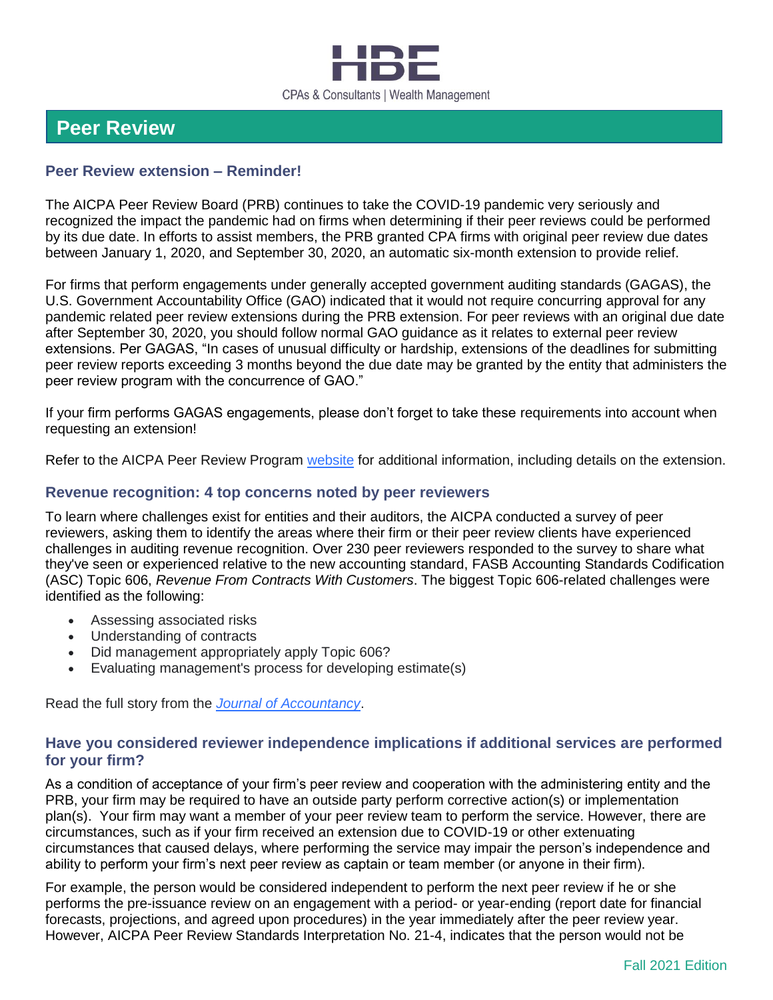

# **Peer Review**

#### **Peer Review extension – Reminder!**

The AICPA Peer Review Board (PRB) continues to take the COVID-19 pandemic very seriously and recognized the impact the pandemic had on firms when determining if their peer reviews could be performed by its due date. In efforts to assist members, the PRB granted CPA firms with original peer review due dates between January 1, 2020, and September 30, 2020, an automatic six-month extension to provide relief.

For firms that perform engagements under generally accepted government auditing standards (GAGAS), the U.S. Government Accountability Office (GAO) indicated that it would not require concurring approval for any pandemic related peer review extensions during the PRB extension. For peer reviews with an original due date after September 30, 2020, you should follow normal GAO guidance as it relates to external peer review extensions. Per GAGAS, "In cases of unusual difficulty or hardship, extensions of the deadlines for submitting peer review reports exceeding 3 months beyond the due date may be granted by the entity that administers the peer review program with the concurrence of GAO."

If your firm performs GAGAS engagements, please don't forget to take these requirements into account when requesting an extension!

Refer to the AICPA Peer Review Program [website](https://www.aicpa.org/interestareas/peerreview.html) for additional information, including details on the extension.

#### **Revenue recognition: 4 top concerns noted by peer reviewers**

To learn where challenges exist for entities and their auditors, the AICPA conducted a survey of peer reviewers, asking them to identify the areas where their firm or their peer review clients have experienced challenges in auditing revenue recognition. Over 230 peer reviewers responded to the survey to share what they've seen or experienced relative to the new accounting standard, FASB Accounting Standards Codification (ASC) Topic 606, *Revenue From Contracts With Customers*. The biggest Topic 606-related challenges were identified as the following:

- Assessing associated risks
- Understanding of contracts
- Did management appropriately apply Topic 606?
- Evaluating management's process for developing estimate(s)

Read the full story from the *[Journal of Accountancy](https://www.journalofaccountancy.com/issues/2021/nov/revenue-recognition-concerns-peer-reviewers.html)*.

#### **Have you considered reviewer independence implications if additional services are performed for your firm?**

As a condition of acceptance of your firm's peer review and cooperation with the administering entity and the PRB, your firm may be required to have an outside party perform corrective action(s) or implementation plan(s). Your firm may want a member of your peer review team to perform the service. However, there are circumstances, such as if your firm received an extension due to COVID-19 or other extenuating circumstances that caused delays, where performing the service may impair the person's independence and ability to perform your firm's next peer review as captain or team member (or anyone in their firm).

For example, the person would be considered independent to perform the next peer review if he or she performs the pre-issuance review on an engagement with a period- or year-ending (report date for financial forecasts, projections, and agreed upon procedures) in the year immediately after the peer review year. However, AICPA Peer Review Standards Interpretation No. 21-4, indicates that the person would not be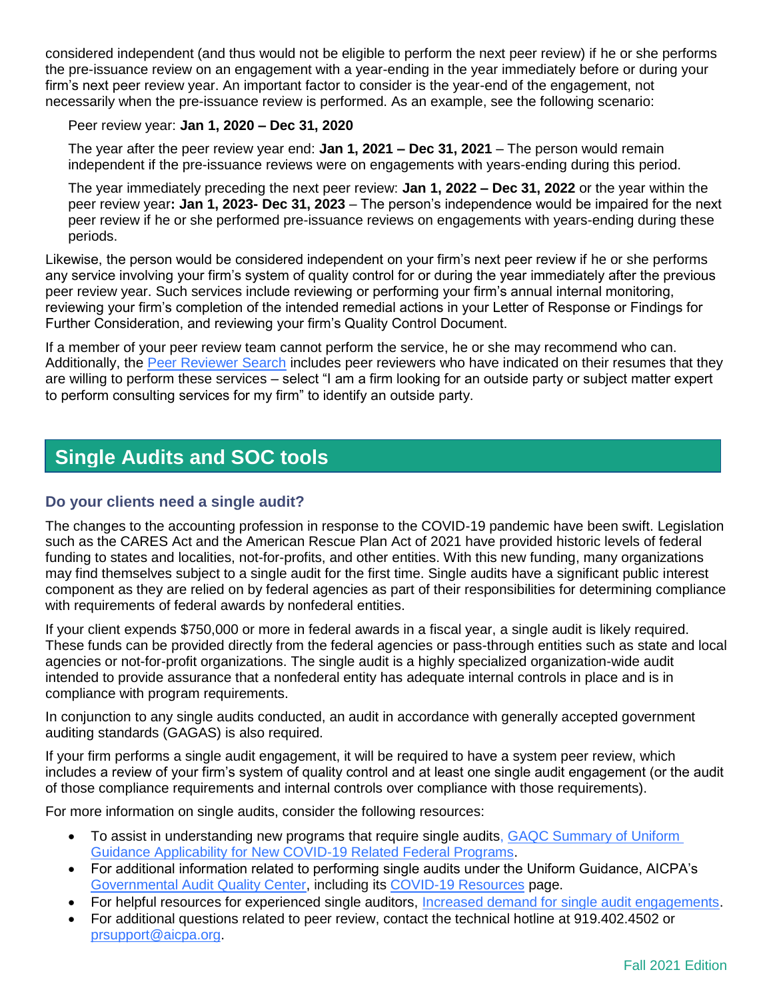considered independent (and thus would not be eligible to perform the next peer review) if he or she performs the pre-issuance review on an engagement with a year-ending in the year immediately before or during your firm's next peer review year. An important factor to consider is the year-end of the engagement, not necessarily when the pre-issuance review is performed. As an example, see the following scenario:

#### Peer review year: **Jan 1, 2020 – Dec 31, 2020**

The year after the peer review year end: **Jan 1, 2021 – Dec 31, 2021** – The person would remain independent if the pre-issuance reviews were on engagements with years-ending during this period.

The year immediately preceding the next peer review: **Jan 1, 2022 – Dec 31, 2022** or the year within the peer review year**: Jan 1, 2023- Dec 31, 2023** – The person's independence would be impaired for the next peer review if he or she performed pre-issuance reviews on engagements with years-ending during these periods.

Likewise, the person would be considered independent on your firm's next peer review if he or she performs any service involving your firm's system of quality control for or during the year immediately after the previous peer review year. Such services include reviewing or performing your firm's annual internal monitoring, reviewing your firm's completion of the intended remedial actions in your Letter of Response or Findings for Further Consideration, and reviewing your firm's Quality Control Document.

If a member of your peer review team cannot perform the service, he or she may recommend who can. Additionally, the [Peer Reviewer Search](https://peerreview.aicpa.org/reviewer_Search.html) includes peer reviewers who have indicated on their resumes that they are willing to perform these services – select "I am a firm looking for an outside party or subject matter expert to perform consulting services for my firm" to identify an outside party.

# **Single Audits and SOC tools**

## **Do your clients need a single audit?**

The changes to the accounting profession in response to the COVID-19 pandemic have been swift. Legislation such as the CARES Act and the American Rescue Plan Act of 2021 have provided historic levels of federal funding to states and localities, not-for-profits, and other entities. With this new funding, many organizations may find themselves subject to a single audit for the first time. Single audits have a significant public interest component as they are relied on by federal agencies as part of their responsibilities for determining compliance with requirements of federal awards by nonfederal entities.

If your client expends \$750,000 or more in federal awards in a fiscal year, a single audit is likely required. These funds can be provided directly from the federal agencies or pass-through entities such as state and local agencies or not-for-profit organizations. The single audit is a highly specialized organization-wide audit intended to provide assurance that a nonfederal entity has adequate internal controls in place and is in compliance with program requirements.

In conjunction to any single audits conducted, an audit in accordance with generally accepted government auditing standards (GAGAS) is also required.

If your firm performs a single audit engagement, it will be required to have a system peer review, which includes a review of your firm's system of quality control and at least one single audit engagement (or the audit of those compliance requirements and internal controls over compliance with those requirements).

For more information on single audits, consider the following resources:

- To assist in understanding new programs that require single audits, GAQC Summary of Uniform [Guidance Applicability for New COVID-19 Related Federal Programs.](https://nam12.safelinks.protection.outlook.com/?url=https%3A%2F%2Fwww.aicpa.org%2Fcontent%2Fdam%2Faicpa%2Finterestareas%2Fgovernmentalauditquality%2Fresources%2Fsingleaudit%2Funiformguidanceforfederalrewards%2Fdownloadabledocuments%2Fgaqc-summary-of-applicability-for-new-coronavirus-related-fed-programs-20200616.pdf&data=04%7C01%7CKaren.Aylor%40aicpa-cima.com%7C7bc2438302964c47a31808d98eb23895%7Cab44e261e3294327bbdd17a5478226a1%7C1%7C0%7C637697719442025709%7CUnknown%7CTWFpbGZsb3d8eyJWIjoiMC4wLjAwMDAiLCJQIjoiV2luMzIiLCJBTiI6Ik1haWwiLCJXVCI6Mn0%3D%7C3000&sdata=3496uTQjTdDIaOwHcp1GAgTRh%2FqykaOZZyOd%2B%2FUT8MM%3D&reserved=0)
- For additional information related to performing single audits under the Uniform Guidance, AICPA's [Governmental Audit Quality Center,](https://nam12.safelinks.protection.outlook.com/?url=https%3A%2F%2Fwww.aicpa.org%2Finterestareas%2Fgovernmentalauditquality%2Fresources%2Fsingleaudit%2Funiformguidanceforfederalrewards.html&data=04%7C01%7CKaren.Aylor%40aicpa-cima.com%7C7bc2438302964c47a31808d98eb23895%7Cab44e261e3294327bbdd17a5478226a1%7C1%7C0%7C637697719442035702%7CUnknown%7CTWFpbGZsb3d8eyJWIjoiMC4wLjAwMDAiLCJQIjoiV2luMzIiLCJBTiI6Ik1haWwiLCJXVCI6Mn0%3D%7C3000&sdata=i%2FvFesZHbieTo0dZUJSyqPLOr6KAb3tAvZjjG6%2BMMhI%3D&reserved=0) including its [COVID-19 Resources](https://nam12.safelinks.protection.outlook.com/?url=https%3A%2F%2Fwww.aicpa.org%2Finterestareas%2Fgovernmentalauditquality%2Fresources%2Fsingleaudit%2Funiformguidanceforfederalrewards.html%23COVID&data=04%7C01%7CKaren.Aylor%40aicpa-cima.com%7C7bc2438302964c47a31808d98eb23895%7Cab44e261e3294327bbdd17a5478226a1%7C1%7C0%7C637697719442045697%7CUnknown%7CTWFpbGZsb3d8eyJWIjoiMC4wLjAwMDAiLCJQIjoiV2luMzIiLCJBTiI6Ik1haWwiLCJXVCI6Mn0%3D%7C3000&sdata=4KI%2BCxIpbh3GogfhkKTpF14izcZLHv4yXGzwY2Cr8uI%3D&reserved=0) page.
- For helpful resources for experienced single auditors, [Increased demand for single audit engagements.](https://www.aicpa.org/interestareas/peerreview/specializedaudits.html)
- For additional questions related to peer review, contact the technical hotline at 919.402.4502 or [prsupport@aicpa.org.](mailto:prsupport@aicpa.org)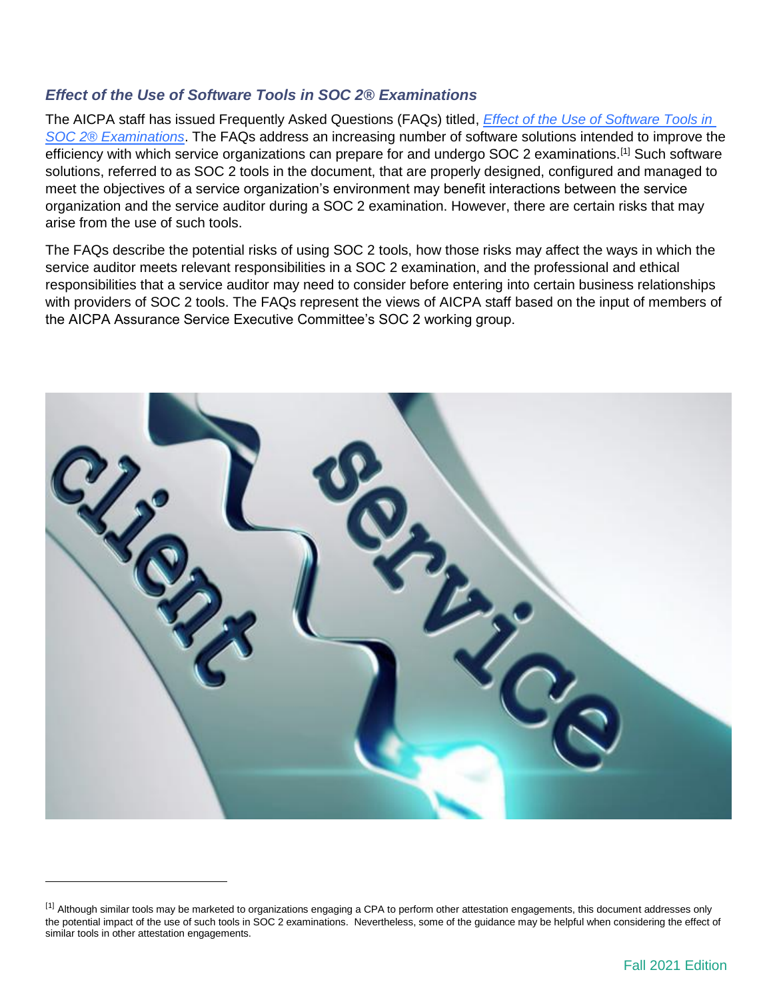## *Effect of the Use of Software Tools in SOC 2® Examinations*

The AICPA staff has issued Frequently Asked Questions (FAQs) titled, *[Effect of the Use of Software Tools in](https://future.aicpa.org/resources/article/faqs-effect-of-the-use-of-software-tools-on-soc-2-r-examinations)  [SOC 2® Examinations](https://future.aicpa.org/resources/article/faqs-effect-of-the-use-of-software-tools-on-soc-2-r-examinations)*. The FAQs address an increasing number of software solutions intended to improve the efficiency with which service organizations can prepare for and undergo SOC 2 examinations.<sup>[1]</sup> Such software solutions, referred to as SOC 2 tools in the document, that are properly designed, configured and managed to meet the objectives of a service organization's environment may benefit interactions between the service organization and the service auditor during a SOC 2 examination. However, there are certain risks that may arise from the use of such tools.

The FAQs describe the potential risks of using SOC 2 tools, how those risks may affect the ways in which the service auditor meets relevant responsibilities in a SOC 2 examination, and the professional and ethical responsibilities that a service auditor may need to consider before entering into certain business relationships with providers of SOC 2 tools. The FAQs represent the views of AICPA staff based on the input of members of the AICPA Assurance Service Executive Committee's SOC 2 working group.



l

<sup>[1]</sup> Although similar tools may be marketed to organizations engaging a CPA to perform other attestation engagements, this document addresses only the potential impact of the use of such tools in SOC 2 examinations. Nevertheless, some of the guidance may be helpful when considering the effect of similar tools in other attestation engagements.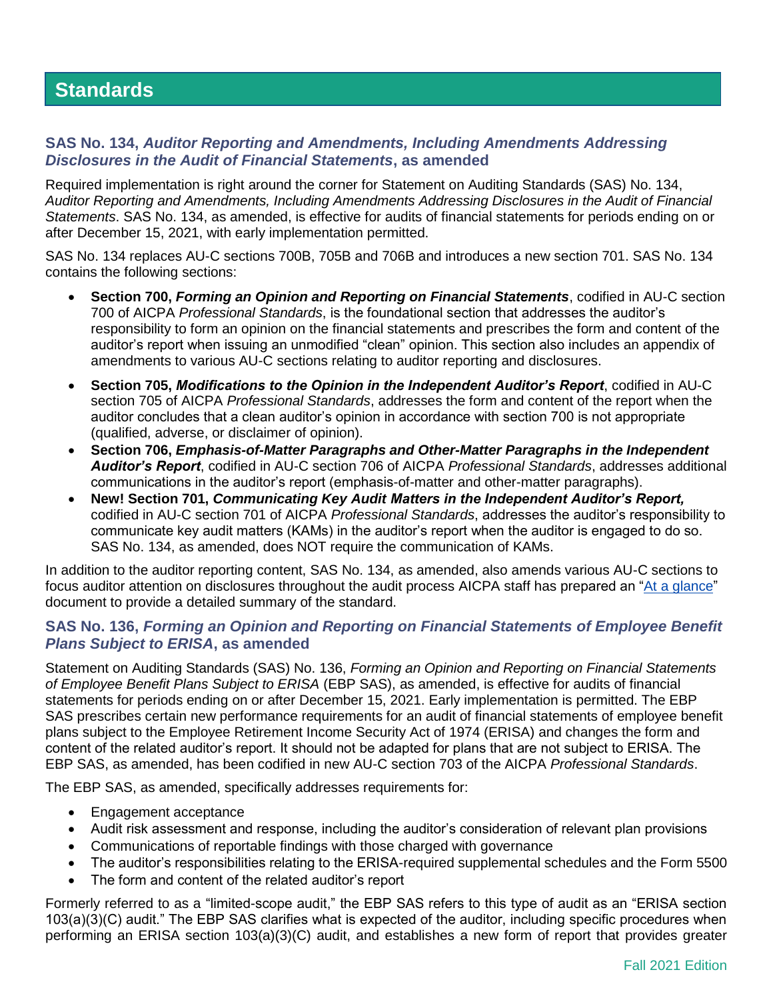# **Standards**

#### **SAS No. 134,** *Auditor Reporting and Amendments, Including Amendments Addressing Disclosures in the Audit of Financial Statements***, as amended**

Required implementation is right around the corner for Statement on Auditing Standards (SAS) No. 134, *Auditor Reporting and Amendments, Including Amendments Addressing Disclosures in the Audit of Financial Statements*. SAS No. 134, as amended, is effective for audits of financial statements for periods ending on or after December 15, 2021, with early implementation permitted.

SAS No. 134 replaces AU-C sections 700B, 705B and 706B and introduces a new section 701. SAS No. 134 contains the following sections:

- **Section 700,** *Forming an Opinion and Reporting on Financial Statements*, codified in AU-C section 700 of AICPA *Professional Standards*, is the foundational section that addresses the auditor's responsibility to form an opinion on the financial statements and prescribes the form and content of the auditor's report when issuing an unmodified "clean" opinion. This section also includes an appendix of amendments to various AU-C sections relating to auditor reporting and disclosures.
- **Section 705,** *Modifications to the Opinion in the Independent Auditor's Report*, codified in AU-C section 705 of AICPA *Professional Standards*, addresses the form and content of the report when the auditor concludes that a clean auditor's opinion in accordance with section 700 is not appropriate (qualified, adverse, or disclaimer of opinion).
- **Section 706,** *Emphasis-of-Matter Paragraphs and Other-Matter Paragraphs in the Independent Auditor's Report*, codified in AU-C section 706 of AICPA *Professional Standards*, addresses additional communications in the auditor's report (emphasis-of-matter and other-matter paragraphs).
- **New! Section 701,** *Communicating Key Audit Matters in the Independent Auditor's Report,*  codified in AU-C section 701 of AICPA *Professional Standards*, addresses the auditor's responsibility to communicate key audit matters (KAMs) in the auditor's report when the auditor is engaged to do so. SAS No. 134, as amended, does NOT require the communication of KAMs.

In addition to the auditor reporting content, SAS No. 134, as amended, also amends various AU-C sections to focus auditor attention on disclosures throughout the audit process AICPA staff has prepared an ["At a glance"](https://us.aicpa.org/content/dam/aicpa/research/standards/auditattest/downloadabledocuments/sas-134-at-a-glance.pdf) [document](https://www.aicpa.org/content/dam/aicpa/research/standards/auditattest/downloadabledocuments/ssae-19-at-a-glance.pdf) to provide a detailed summary of the standard.

## **SAS No. 136,** *Forming an Opinion and Reporting on Financial Statements of Employee Benefit Plans Subject to ERISA***, as amended**

Statement on Auditing Standards (SAS) No. 136, *Forming an Opinion and Reporting on Financial Statements of Employee Benefit Plans Subject to ERISA* (EBP SAS), as amended, is effective for audits of financial statements for periods ending on or after December 15, 2021. Early implementation is permitted. The EBP SAS prescribes certain new performance requirements for an audit of financial statements of employee benefit plans subject to the Employee Retirement Income Security Act of 1974 (ERISA) and changes the form and content of the related auditor's report. It should not be adapted for plans that are not subject to ERISA. The EBP SAS, as amended, has been codified in new AU-C section 703 of the AICPA *Professional Standards*.

The EBP SAS, as amended, specifically addresses requirements for:

- Engagement acceptance
- Audit risk assessment and response, including the auditor's consideration of relevant plan provisions
- Communications of reportable findings with those charged with governance
- The auditor's responsibilities relating to the ERISA-required supplemental schedules and the Form 5500
- The form and content of the related auditor's report

Formerly referred to as a "limited-scope audit," the EBP SAS refers to this type of audit as an "ERISA section 103(a)(3)(C) audit." The EBP SAS clarifies what is expected of the auditor, including specific procedures when performing an ERISA section 103(a)(3)(C) audit, and establishes a new form of report that provides greater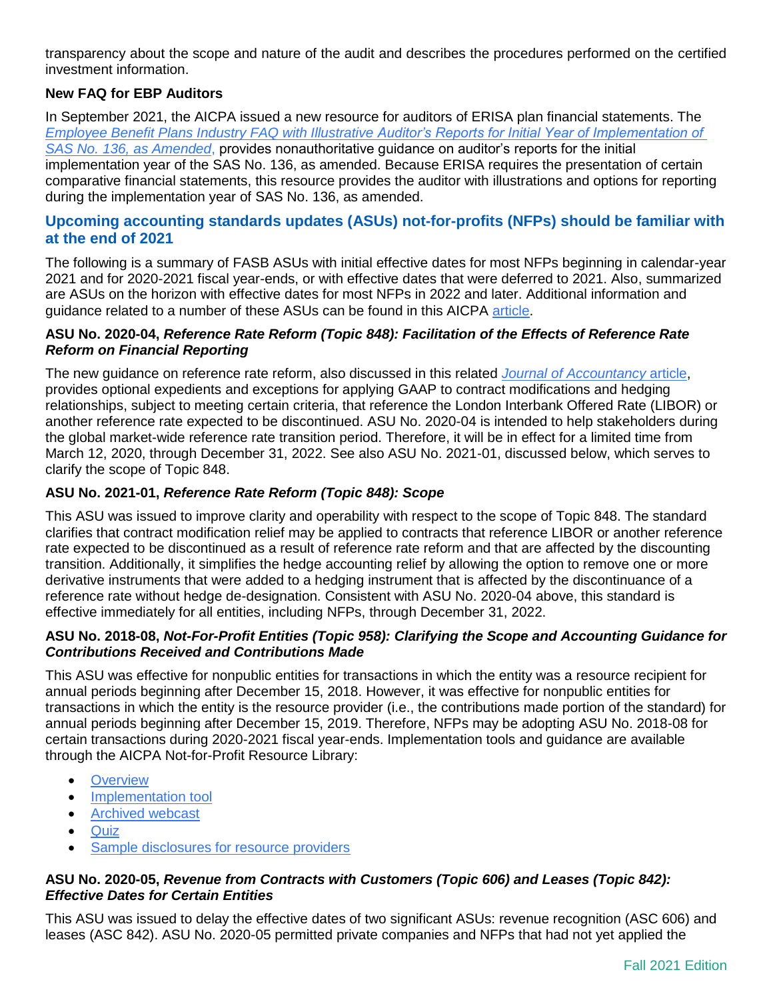transparency about the scope and nature of the audit and describes the procedures performed on the certified investment information.

#### **New FAQ for EBP Auditors**

In September 2021, the AICPA issued a new resource for auditors of ERISA plan financial statements. The *[Employee Benefit Plans Industry FAQ with Illustrative Auditor's Reports for Initial Year of Implementation of](https://www.aicpa.org/content/dam/aicpa/interestareas/frc/auditattest/downloadabledocuments/sas-136-illustrations.pdf)  [SAS No. 136, as Amended](https://www.aicpa.org/content/dam/aicpa/interestareas/frc/auditattest/downloadabledocuments/sas-136-illustrations.pdf)*, provides nonauthoritative guidance on auditor's reports for the initial implementation year of the SAS No. 136, as amended. Because ERISA requires the presentation of certain comparative financial statements, this resource provides the auditor with illustrations and options for reporting during the implementation year of SAS No. 136, as amended.

#### **Upcoming accounting standards updates (ASUs) not-for-profits (NFPs) should be familiar with at the end of 2021**

The following is a summary of FASB ASUs with initial effective dates for most NFPs beginning in calendar-year 2021 and for 2020-2021 fiscal year-ends, or with effective dates that were deferred to 2021. Also, summarized are ASUs on the horizon with effective dates for most NFPs in 2022 and later. Additional information and guidance related to a number of these ASUs can be found in this AICPA [article.](https://future.aicpa.org/resources/article/top-issues-for-not-for-profits-this-year)

#### **ASU No. 2020-04,** *Reference Rate Reform (Topic 848): Facilitation of the Effects of Reference Rate Reform on Financial Reporting*

The new guidance on reference rate reform, also discussed in this related *[Journal of Accountancy](https://www.journalofaccountancy.com/news/2020/mar/fasb-accounting-relief-for-libor-transition-23162.html)* article, provides optional expedients and exceptions for applying GAAP to contract modifications and hedging relationships, subject to meeting certain criteria, that reference the London Interbank Offered Rate (LIBOR) or another reference rate expected to be discontinued. ASU No. 2020-04 is intended to help stakeholders during the global market-wide reference rate transition period. Therefore, it will be in effect for a limited time from March 12, 2020, through December 31, 2022. See also ASU No. 2021-01, discussed below, which serves to clarify the scope of Topic 848.

#### **ASU No. 2021-01,** *Reference Rate Reform (Topic 848): Scope*

This ASU was issued to improve clarity and operability with respect to the scope of Topic 848. The standard clarifies that contract modification relief may be applied to contracts that reference LIBOR or another reference rate expected to be discontinued as a result of reference rate reform and that are affected by the discounting transition. Additionally, it simplifies the hedge accounting relief by allowing the option to remove one or more derivative instruments that were added to a hedging instrument that is affected by the discontinuance of a reference rate without hedge de-designation. Consistent with ASU No. 2020-04 above, this standard is effective immediately for all entities, including NFPs, through December 31, 2022.

#### **ASU No. 2018-08,** *Not-For-Profit Entities (Topic 958): Clarifying the Scope and Accounting Guidance for Contributions Received and Contributions Made*

This ASU was effective for nonpublic entities for transactions in which the entity was a resource recipient for annual periods beginning after December 15, 2018. However, it was effective for nonpublic entities for transactions in which the entity is the resource provider (i.e., the contributions made portion of the standard) for annual periods beginning after December 15, 2019. Therefore, NFPs may be adopting ASU No. 2018-08 for certain transactions during 2020-2021 fiscal year-ends. Implementation tools and guidance are available through the AICPA Not-for-Profit Resource Library:

- [Overview](https://future.aicpa.org/resources/article/fasb-standard-addresses-accounting-for-grants-and-contracts)
- [Implementation tool](https://future.aicpa.org/resources/download/grants-and-contracts-implementation-tool-for-not-for-profits)
- [Archived webcast](https://future.aicpa.org/resources/video/accounting-for-nonprofit-grants-and-contracts)
- [Quiz](https://media.aicpa.org/NFP/Grants_n_Contracts_Quiz/index.html)
- [Sample disclosures for resource providers](https://future.aicpa.org/resources/article/example-disclosures-for-resource-providers-and-contributions-made)

#### **ASU No. 2020-05,** *Revenue from Contracts with Customers (Topic 606) and Leases (Topic 842): Effective Dates for Certain Entities*

This ASU was issued to delay the effective dates of two significant ASUs: revenue recognition (ASC 606) and leases (ASC 842). ASU No. 2020-05 permitted private companies and NFPs that had not yet applied the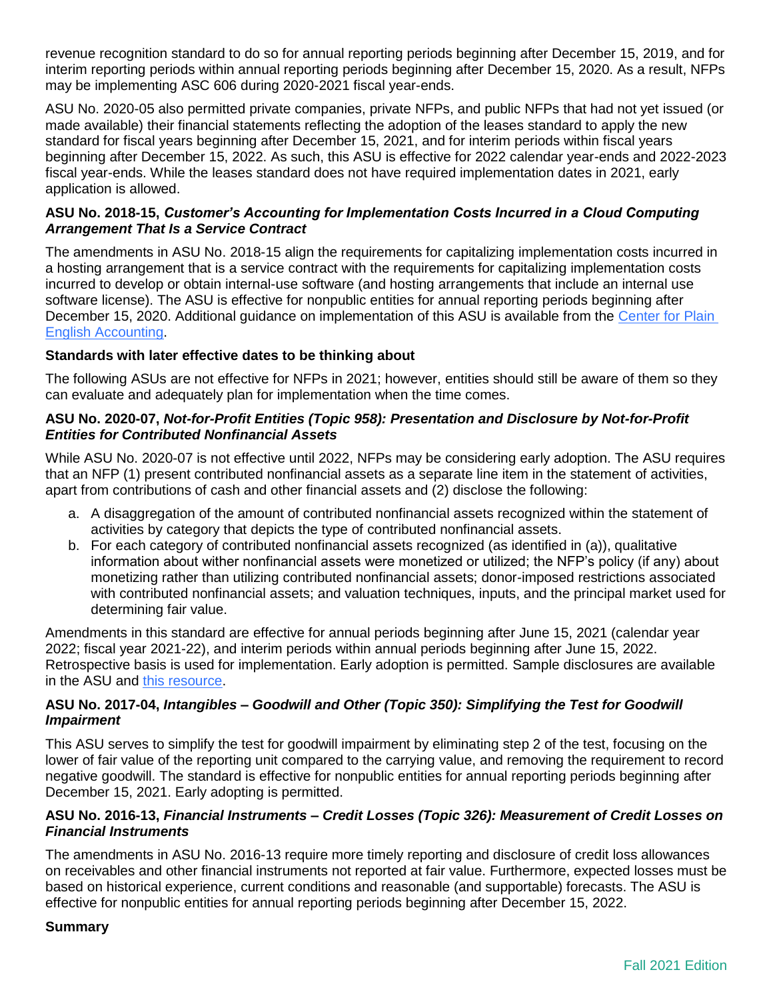revenue recognition standard to do so for annual reporting periods beginning after December 15, 2019, and for interim reporting periods within annual reporting periods beginning after December 15, 2020. As a result, NFPs may be implementing ASC 606 during 2020-2021 fiscal year-ends.

ASU No. 2020-05 also permitted private companies, private NFPs, and public NFPs that had not yet issued (or made available) their financial statements reflecting the adoption of the leases standard to apply the new standard for fiscal years beginning after December 15, 2021, and for interim periods within fiscal years beginning after December 15, 2022. As such, this ASU is effective for 2022 calendar year-ends and 2022-2023 fiscal year-ends. While the leases standard does not have required implementation dates in 2021, early application is allowed.

#### **ASU No. 2018-15,** *Customer's Accounting for Implementation Costs Incurred in a Cloud Computing Arrangement That Is a Service Contract*

The amendments in ASU No. 2018-15 align the requirements for capitalizing implementation costs incurred in a hosting arrangement that is a service contract with the requirements for capitalizing implementation costs incurred to develop or obtain internal-use software (and hosting arrangements that include an internal use software license). The ASU is effective for nonpublic entities for annual reporting periods beginning after December 15, 2020. Additional guidance on implementation of this ASU is available from the Center for Plain [English Accounting.](https://www.aicpa.org/content/dam/aicpa/interestareas/centerforplainenglishaccounting/news/2018/asu-2018-15-final.pdf?contentType=secured)

#### **Standards with later effective dates to be thinking about**

The following ASUs are not effective for NFPs in 2021; however, entities should still be aware of them so they can evaluate and adequately plan for implementation when the time comes.

#### **ASU No. 2020-07,** *Not-for-Profit Entities (Topic 958): Presentation and Disclosure by Not-for-Profit Entities for Contributed Nonfinancial Assets*

While ASU No. 2020-07 is not effective until 2022, NFPs may be considering early adoption. The ASU requires that an NFP (1) present contributed nonfinancial assets as a separate line item in the statement of activities, apart from contributions of cash and other financial assets and (2) disclose the following:

- a. A disaggregation of the amount of contributed nonfinancial assets recognized within the statement of activities by category that depicts the type of contributed nonfinancial assets.
- b. For each category of contributed nonfinancial assets recognized (as identified in (a)), qualitative information about wither nonfinancial assets were monetized or utilized; the NFP's policy (if any) about monetizing rather than utilizing contributed nonfinancial assets; donor-imposed restrictions associated with contributed nonfinancial assets; and valuation techniques, inputs, and the principal market used for determining fair value.

Amendments in this standard are effective for annual periods beginning after June 15, 2021 (calendar year 2022; fiscal year 2021-22), and interim periods within annual periods beginning after June 15, 2022. Retrospective basis is used for implementation. Early adoption is permitted. Sample disclosures are available in the ASU and [this resource.](https://future.aicpa.org/resources/article/example-gifts-in-kind-nfp-financial-statement-disclosures)

#### **ASU No. 2017-04,** *Intangibles – Goodwill and Other (Topic 350): Simplifying the Test for Goodwill Impairment*

This ASU serves to simplify the test for goodwill impairment by eliminating step 2 of the test, focusing on the lower of fair value of the reporting unit compared to the carrying value, and removing the requirement to record negative goodwill. The standard is effective for nonpublic entities for annual reporting periods beginning after December 15, 2021. Early adopting is permitted.

#### **ASU No. 2016-13,** *Financial Instruments – Credit Losses (Topic 326): Measurement of Credit Losses on Financial Instruments*

The amendments in ASU No. 2016-13 require more timely reporting and disclosure of credit loss allowances on receivables and other financial instruments not reported at fair value. Furthermore, expected losses must be based on historical experience, current conditions and reasonable (and supportable) forecasts. The ASU is effective for nonpublic entities for annual reporting periods beginning after December 15, 2022.

#### **Summary**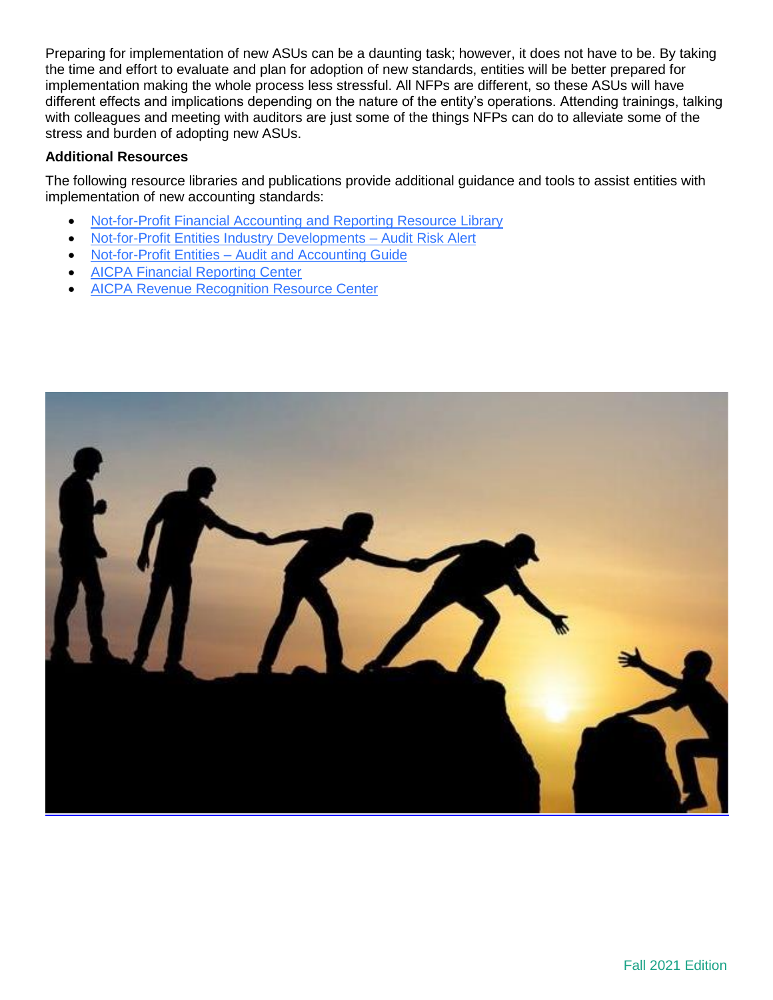Preparing for implementation of new ASUs can be a daunting task; however, it does not have to be. By taking the time and effort to evaluate and plan for adoption of new standards, entities will be better prepared for implementation making the whole process less stressful. All NFPs are different, so these ASUs will have different effects and implications depending on the nature of the entity's operations. Attending trainings, talking with colleagues and meeting with auditors are just some of the things NFPs can do to alleviate some of the stress and burden of adopting new ASUs.

#### **Additional Resources**

The following resource libraries and publications provide additional guidance and tools to assist entities with implementation of new accounting standards:

- [Not-for-Profit Financial Accounting and Reporting Resource Library](https://www.aicpa.org/interestareas/notforprofit/resources/financialaccounting.html)
- [Not-for-Profit Entities Industry Developments –](https://www.aicpa.org/cpe-learning/publication/not-for-profit-entities-industry-developments-audit-risk-alert) Audit Risk Alert
- Not-for-Profit Entities [Audit and Accounting Guide](https://www.aicpa.org/cpe-learning/publication/not-for-profit-entities-audit-and-accounting-guide-OPL)
- [AICPA Financial Reporting Center](https://www.aicpa.org/interestareas/frc.html)
- [AICPA Revenue Recognition Resource Center](https://www.aicpa.org/interestareas/frc/accountingfinancialreporting/revenuerecognition.html)

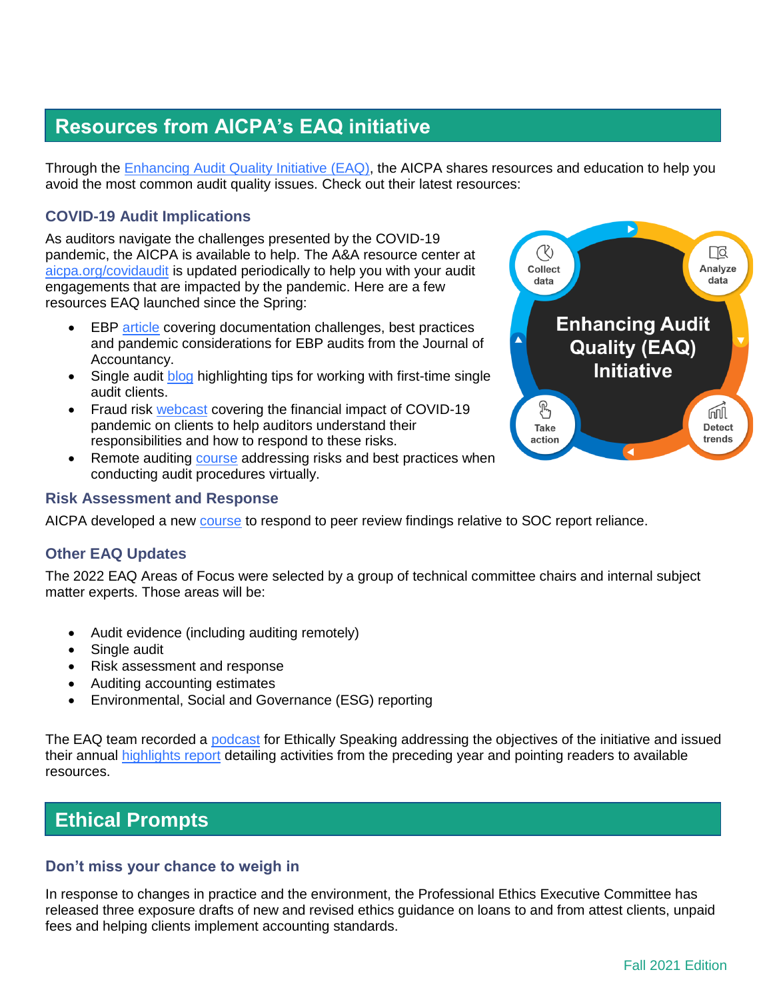# **Resources from AICPA's EAQ initiative**

Through the [Enhancing Audit Quality Initiative \(EAQ\),](https://www.aicpa.org/eaq) the AICPA shares resources and education to help you avoid the most common audit quality issues. Check out their latest resources:

## **COVID-19 Audit Implications**

As auditors navigate the challenges presented by the COVID-19 pandemic, the AICPA is available to help. The A&A resource center at [aicpa.org/covidaudit](https://future.aicpa.org/topic/audit-assurance/covid-19-audit-assurance) is updated periodically to help you with your audit engagements that are impacted by the pandemic. Here are a few resources EAQ launched since the Spring:

- EBP [article](https://www.journalofaccountancy.com/news/2021/apr/employee-benefit-plan-audits-key-documents-and-steps.html) covering documentation challenges, best practices and pandemic considerations for EBP audits from the Journal of Accountancy.
- Single audit [blog](https://www.aicpa.org/news/article/tips-for-working-with-first-time-single-audit-clients) highlighting tips for working with first-time single audit clients.
- Fraud risk [webcast](https://future.aicpa.org/cpe-learning/webcast/understanding-fraud-risks-auditing-during-the-pandemic) covering the financial impact of COVID-19 pandemic on clients to help auditors understand their responsibilities and how to respond to these risks.
- Remote auditing [course](https://www.aicpa.org/cpe-learning/course/conducting-a-remote-audit-sso) addressing risks and best practices when conducting audit procedures virtually.

#### **Risk Assessment and Response**

AICPA developed a new [course](https://www.aicpa.org/cpe-learning/webcast/you-have-a-soc-1-report-now-what) to respond to peer review findings relative to SOC report reliance.

#### **Other EAQ Updates**

The 2022 EAQ Areas of Focus were selected by a group of technical committee chairs and internal subject matter experts. Those areas will be:

- Audit evidence (including auditing remotely)
- Single audit
- Risk assessment and response
- Auditing accounting estimates
- Environmental, Social and Governance (ESG) reporting

The EAQ team recorded a [podcast](https://ethicallyspeaking.libsyn.com/ep-15-eaq-whats-it-all-about) for Ethically Speaking addressing the objectives of the initiative and issued their annual [highlights report](https://us.aicpa.org/content/dam/aicpa/eaq/eaq-highlights-report-2020.pdf) detailing activities from the preceding year and pointing readers to available resources.

## **Ethical Prompts**

#### **Don't miss your chance to weigh in**

In response to changes in practice and the environment, the Professional Ethics Executive Committee has released three exposure drafts of new and revised ethics guidance on loans to and from attest clients, unpaid fees and helping clients implement accounting standards.